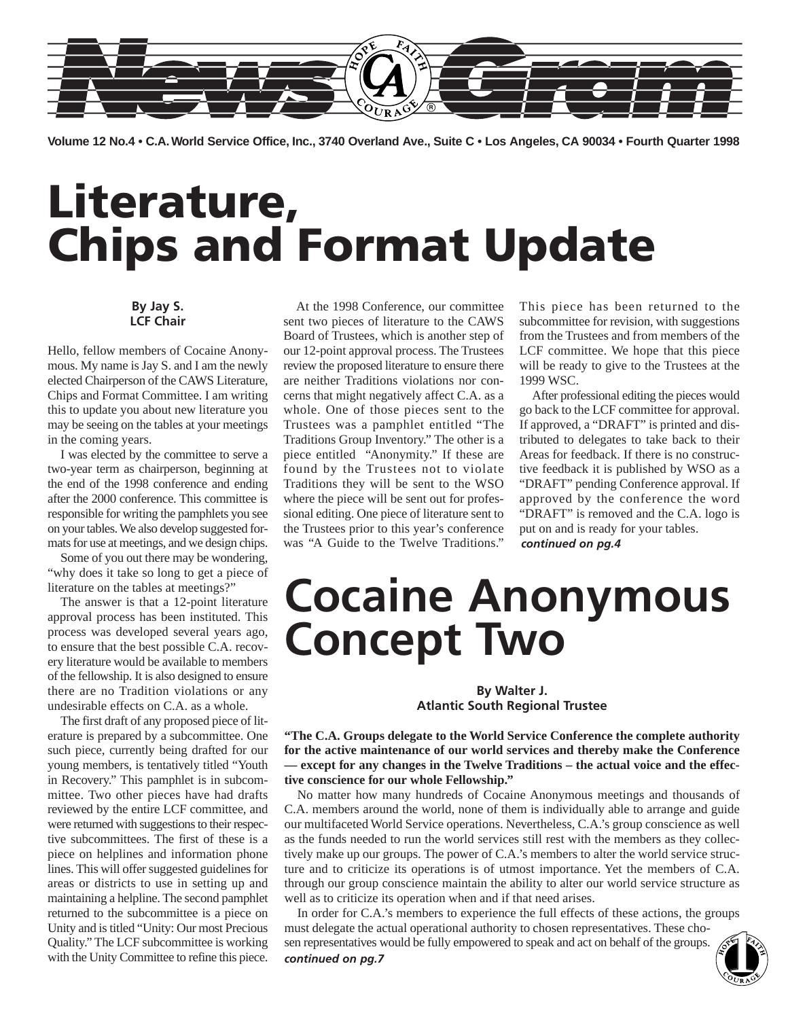

**Volume 12 No.4 • C.A. World Service Office, Inc., 3740 Overland Ave., Suite C • Los Angeles, CA 90034 • Fourth Quarter 1998**

# **Literature, Chips and Format Update**

### **By Jay S. LCF Chair**

Hello, fellow members of Cocaine Anonymous. My name is Jay S. and I am the newly elected Chairperson of the CAWS Literature, Chips and Format Committee. I am writing this to update you about new literature you may be seeing on the tables at your meetings in the coming years.

I was elected by the committee to serve a two-year term as chairperson, beginning at the end of the 1998 conference and ending after the 2000 conference. This committee is responsible for writing the pamphlets you see on your tables. We also develop suggested formats for use at meetings, and we design chips.

Some of you out there may be wondering, "why does it take so long to get a piece of literature on the tables at meetings?"

The answer is that a 12-point literature approval process has been instituted. This process was developed several years ago, to ensure that the best possible C.A. recovery literature would be available to members of the fellowship. It is also designed to ensure there are no Tradition violations or any undesirable effects on C.A. as a whole.

The first draft of any proposed piece of literature is prepared by a subcommittee. One such piece, currently being drafted for our young members, is tentatively titled "Youth in Recovery." This pamphlet is in subcommittee. Two other pieces have had drafts reviewed by the entire LCF committee, and were returned with suggestions to their respective subcommittees. The first of these is a piece on helplines and information phone lines. This will offer suggested guidelines for areas or districts to use in setting up and maintaining a helpline. The second pamphlet returned to the subcommittee is a piece on Unity and is titled "Unity: Our most Precious Quality." The LCF subcommittee is working with the Unity Committee to refine this piece.

At the 1998 Conference, our committee sent two pieces of literature to the CAWS Board of Trustees, which is another step of our 12-point approval process. The Trustees review the proposed literature to ensure there are neither Traditions violations nor concerns that might negatively affect C.A. as a whole. One of those pieces sent to the Trustees was a pamphlet entitled "The Traditions Group Inventory." The other is a piece entitled "Anonymity." If these are found by the Trustees not to violate Traditions they will be sent to the WSO where the piece will be sent out for professional editing. One piece of literature sent to the Trustees prior to this year's conference was "A Guide to the Twelve Traditions."

This piece has been returned to the subcommittee for revision, with suggestions from the Trustees and from members of the LCF committee. We hope that this piece will be ready to give to the Trustees at the 1999 WSC.

After professional editing the pieces would go back to the LCF committee for approval. If approved, a "DRAFT" is printed and distributed to delegates to take back to their Areas for feedback. If there is no constructive feedback it is published by WSO as a "DRAFT" pending Conference approval. If approved by the conference the word "DRAFT" is removed and the C.A. logo is put on and is ready for your tables. *continued on pg.4*

# **Cocaine Anonymous Concept Two**

#### **By Walter J. Atlantic South Regional Trustee**

**"The C.A. Groups delegate to the World Service Conference the complete authority for the active maintenance of our world services and thereby make the Conference — except for any changes in the Twelve Traditions – the actual voice and the effective conscience for our whole Fellowship."**

No matter how many hundreds of Cocaine Anonymous meetings and thousands of C.A. members around the world, none of them is individually able to arrange and guide our multifaceted World Service operations. Nevertheless, C.A.'s group conscience as well as the funds needed to run the world services still rest with the members as they collectively make up our groups. The power of C.A.'s members to alter the world service structure and to criticize its operations is of utmost importance. Yet the members of C.A. through our group conscience maintain the ability to alter our world service structure as well as to criticize its operation when and if that need arises.

In order for C.A.'s members to experience the full effects of these actions, the groups must delegate the actual operational authority to chosen representatives. These chosen representatives would be fully empowered to speak and act on behalf of the groups. *continued on pg.7*

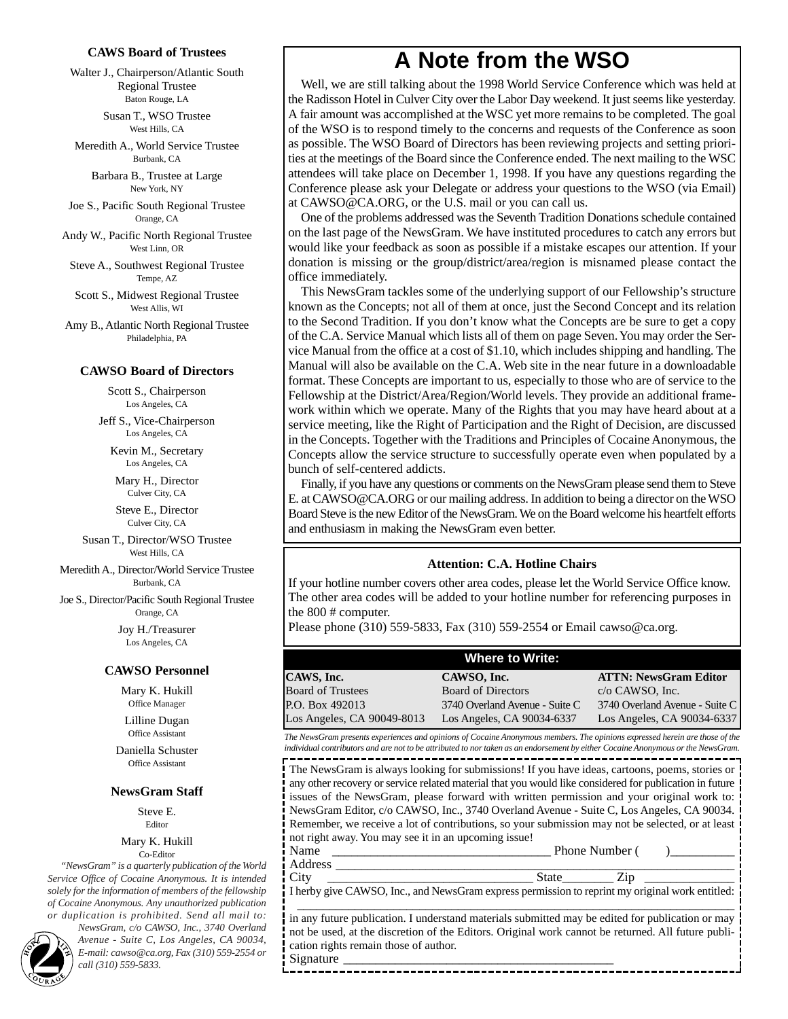#### **CAWS Board of Trustees**

Walter J., Chairperson/Atlantic South Regional Trustee Baton Rouge, LA

> Susan T., WSO Trustee West Hills, CA

Meredith A., World Service Trustee Burbank, CA

> Barbara B., Trustee at Large New York, NY

Joe S., Pacific South Regional Trustee Orange, CA

Andy W., Pacific North Regional Trustee West Linn, OR

Steve A., Southwest Regional Trustee Tempe, AZ

Scott S., Midwest Regional Trustee West Allis, WI

Amy B., Atlantic North Regional Trustee Philadelphia, PA

#### **CAWSO Board of Directors**

Scott S., Chairperson Los Angeles, CA

Jeff S., Vice-Chairperson Los Angeles, CA

Kevin M., Secretary Los Angeles, CA

Mary H., Director Culver City, CA

Steve E., Director Culver City, CA

Susan T., Director/WSO Trustee West Hills, CA

Meredith A., Director/World Service Trustee Burbank, CA

Joe S., Director/Pacific South Regional Trustee Orange, CA

> Joy H./Treasurer Los Angeles, CA

#### **CAWSO Personnel**

Mary K. Hukill Office Manager

Lilline Dugan Office Assistant

Daniella Schuster Office Assistant

#### **NewsGram Staff**

Steve E. Editor

### Mary K. Hukill

Co-Editor

*"NewsGram" is a quarterly publication of the World Service Office of Cocaine Anonymous. It is intended solely for the information of members of the fellowship of Cocaine Anonymous. Any unauthorized publication or duplication is prohibited. Send all mail to:*

*NewsGram, c/o CAWSO, Inc., 3740 Overland Avenue - Suite C, Los Angeles, CA 90034, E-mail: cawso example 3 Avenue - Suite C, Los Angeles, CA 90034,*<br>*E-mail: cawso @ca.org, Fax (310) 559-2554 or 2 call (310) 559-5833.*<br>*E-mail: cawso @ca.org, Fax (310) 559-2554 or* 

# **A Note from the WSO**

Well, we are still talking about the 1998 World Service Conference which was held at the Radisson Hotel in Culver City over the Labor Day weekend. It just seems like yesterday. A fair amount was accomplished at the WSC yet more remains to be completed. The goal of the WSO is to respond timely to the concerns and requests of the Conference as soon as possible. The WSO Board of Directors has been reviewing projects and setting priorities at the meetings of the Board since the Conference ended. The next mailing to the WSC attendees will take place on December 1, 1998. If you have any questions regarding the Conference please ask your Delegate or address your questions to the WSO (via Email) at CAWSO@CA.ORG, or the U.S. mail or you can call us.

One of the problems addressed was the Seventh Tradition Donations schedule contained on the last page of the NewsGram. We have instituted procedures to catch any errors but would like your feedback as soon as possible if a mistake escapes our attention. If your donation is missing or the group/district/area/region is misnamed please contact the office immediately.

This NewsGram tackles some of the underlying support of our Fellowship's structure known as the Concepts; not all of them at once, just the Second Concept and its relation to the Second Tradition. If you don't know what the Concepts are be sure to get a copy of the C.A. Service Manual which lists all of them on page Seven. You may order the Service Manual from the office at a cost of \$1.10, which includes shipping and handling. The Manual will also be available on the C.A. Web site in the near future in a downloadable format. These Concepts are important to us, especially to those who are of service to the Fellowship at the District/Area/Region/World levels. They provide an additional framework within which we operate. Many of the Rights that you may have heard about at a service meeting, like the Right of Participation and the Right of Decision, are discussed in the Concepts. Together with the Traditions and Principles of Cocaine Anonymous, the Concepts allow the service structure to successfully operate even when populated by a bunch of self-centered addicts.

Finally, if you have any questions or comments on the NewsGram please send them to Steve E. at CAWSO@CA.ORG or our mailing address. In addition to being a director on the WSO Board Steve is the new Editor of the NewsGram. We on the Board welcome his heartfelt efforts and enthusiasm in making the NewsGram even better.

#### **Attention: C.A. Hotline Chairs**

If your hotline number covers other area codes, please let the World Service Office know. The other area codes will be added to your hotline number for referencing purposes in the 800 # computer.

Please phone (310) 559-5833, Fax (310) 559-2554 or Email cawso@ca.org.

| <b>Where to Write:</b>     |                                |                                |  |  |  |
|----------------------------|--------------------------------|--------------------------------|--|--|--|
| CAWS, Inc.                 | CAWSO, Inc.                    | <b>ATTN: NewsGram Editor</b>   |  |  |  |
| <b>Board of Trustees</b>   | <b>Board of Directors</b>      | $c/o$ CAWSO, Inc.              |  |  |  |
| P.O. Box 492013            | 3740 Overland Avenue - Suite C | 3740 Overland Avenue - Suite C |  |  |  |
| Los Angeles, CA 90049-8013 | Los Angeles, CA 90034-6337     | Los Angeles, CA 90034-6337     |  |  |  |

*The NewsGram presents experiences and opinions of Cocaine Anonymous members. The opinions expressed herein are those of the individual contributors and are not to be attributed to nor taken as an endorsement by either Cocaine Anonymous or the NewsGram.* -----------------------------------

The NewsGram is always looking for submissions! If you have ideas, cartoons, poems, stories or any other recovery or service related material that you would like considered for publication in future issues of the NewsGram, please forward with written permission and your original work to: NewsGram Editor, c/o CAWSO, Inc., 3740 Overland Avenue - Suite C, Los Angeles, CA 90034. Remember, we receive a lot of contributions, so your submission may not be selected, or at least not right away. You may see it in an upcoming issue!

Name \_\_\_\_\_\_\_\_\_\_\_\_\_\_\_\_\_\_\_\_\_\_\_\_\_\_\_\_\_\_\_\_\_\_ Phone Number ( )\_\_\_\_\_\_\_\_\_\_ Address \_\_\_\_\_\_\_\_\_\_\_\_\_\_\_\_\_\_\_\_\_\_\_\_\_\_\_\_\_\_\_\_\_\_\_\_\_\_\_\_\_\_\_\_\_\_\_\_\_\_\_\_\_\_\_\_\_\_\_\_\_\_

City \_\_\_\_\_\_\_\_\_\_\_\_\_\_\_\_\_\_\_\_\_\_\_\_\_\_\_\_\_\_\_\_ State\_\_\_\_\_\_\_\_ Zip \_\_\_\_\_\_\_\_\_\_\_\_\_\_ I herby give CAWSO, Inc., and NewsGram express permission to reprint my original work entitled:

\_\_\_\_\_\_\_\_\_\_\_\_\_\_\_\_\_\_\_\_\_\_\_\_\_\_\_\_\_\_\_\_\_\_\_\_\_\_\_\_\_\_\_\_\_\_\_\_\_\_\_\_\_\_\_\_\_\_\_\_\_\_\_\_\_\_\_\_ in any future publication. I understand materials submitted may be edited for publication or may not be used, at the discretion of the Editors. Original work cannot be returned. All future publication rights remain those of author.

--------------------------------

Signature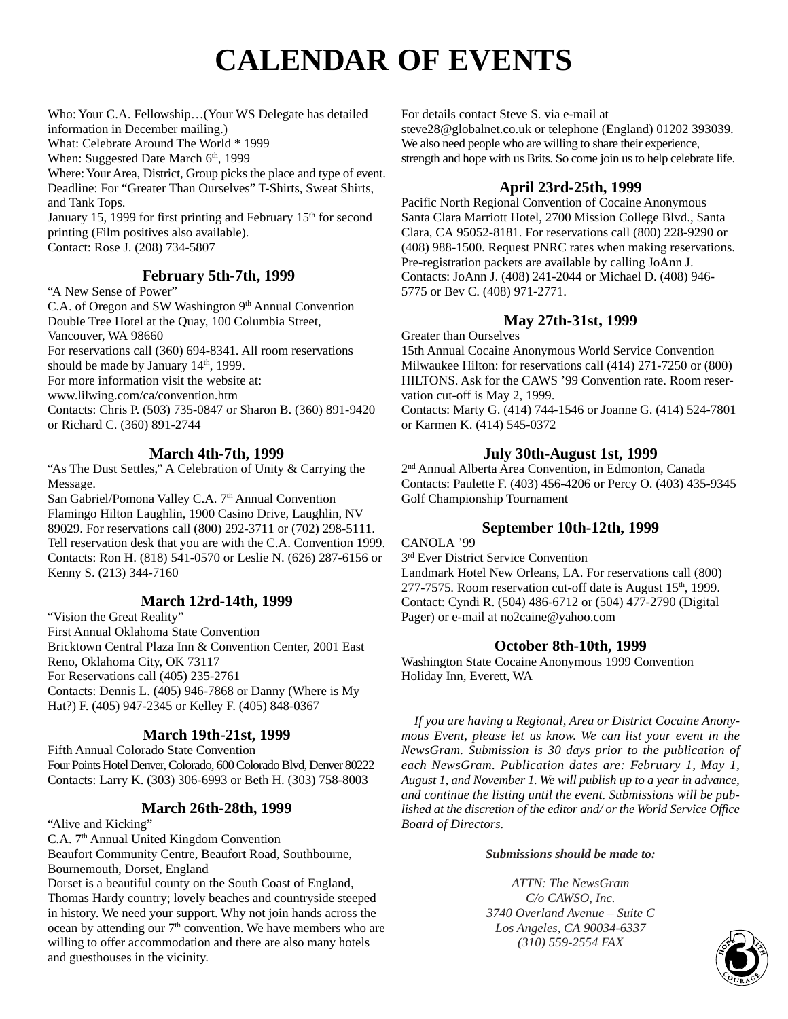# **CALENDAR OF EVENTS**

Who: Your C.A. Fellowship…(Your WS Delegate has detailed information in December mailing.) What: Celebrate Around The World \* 1999 When: Suggested Date March 6<sup>th</sup>, 1999

Where: Your Area, District, Group picks the place and type of event. Deadline: For "Greater Than Ourselves" T-Shirts, Sweat Shirts, and Tank Tops.

January 15, 1999 for first printing and February 15<sup>th</sup> for second printing (Film positives also available). Contact: Rose J. (208) 734-5807

# **February 5th-7th, 1999**

"A New Sense of Power"

C.A. of Oregon and SW Washington 9<sup>th</sup> Annual Convention Double Tree Hotel at the Quay, 100 Columbia Street, Vancouver, WA 98660 For reservations call (360) 694-8341. All room reservations should be made by January  $14<sup>th</sup>$ , 1999. For more information visit the website at: www.lilwing.com/ca/convention.htm Contacts: Chris P. (503) 735-0847 or Sharon B. (360) 891-9420 or Richard C. (360) 891-2744 **March 4th-7th, 1999**

# "As The Dust Settles," A Celebration of Unity & Carrying the

Message. San Gabriel/Pomona Valley C.A. 7<sup>th</sup> Annual Convention Flamingo Hilton Laughlin, 1900 Casino Drive, Laughlin, NV 89029. For reservations call (800) 292-3711 or (702) 298-5111. Tell reservation desk that you are with the C.A. Convention 1999. Contacts: Ron H. (818) 541-0570 or Leslie N. (626) 287-6156 or Kenny S. (213) 344-7160

# **March 12rd-14th, 1999**

"Vision the Great Reality" First Annual Oklahoma State Convention Bricktown Central Plaza Inn & Convention Center, 2001 East Reno, Oklahoma City, OK 73117 For Reservations call (405) 235-2761 Contacts: Dennis L. (405) 946-7868 or Danny (Where is My Hat?) F. (405) 947-2345 or Kelley F. (405) 848-0367

# **March 19th-21st, 1999**

Fifth Annual Colorado State Convention Four Points Hotel Denver, Colorado, 600 Colorado Blvd, Denver 80222 Contacts: Larry K. (303) 306-6993 or Beth H. (303) 758-8003

## **March 26th-28th, 1999**

"Alive and Kicking"

C.A. 7<sup>th</sup> Annual United Kingdom Convention Beaufort Community Centre, Beaufort Road, Southbourne, Bournemouth, Dorset, England

Dorset is a beautiful county on the South Coast of England, Thomas Hardy country; lovely beaches and countryside steeped in history. We need your support. Why not join hands across the ocean by attending our  $7<sup>th</sup>$  convention. We have members who are willing to offer accommodation and there are also many hotels and guesthouses in the vicinity.

For details contact Steve S. via e-mail at

steve28@globalnet.co.uk or telephone (England) 01202 393039. We also need people who are willing to share their experience, strength and hope with us Brits. So come join us to help celebrate life.

## **April 23rd-25th, 1999**

Pacific North Regional Convention of Cocaine Anonymous Santa Clara Marriott Hotel, 2700 Mission College Blvd., Santa Clara, CA 95052-8181. For reservations call (800) 228-9290 or (408) 988-1500. Request PNRC rates when making reservations. Pre-registration packets are available by calling JoAnn J. Contacts: JoAnn J. (408) 241-2044 or Michael D. (408) 946- 5775 or Bev C. (408) 971-2771.

## **May 27th-31st, 1999**

Greater than Ourselves 15th Annual Cocaine Anonymous World Service Convention Milwaukee Hilton: for reservations call (414) 271-7250 or (800) HILTONS. Ask for the CAWS '99 Convention rate. Room reservation cut-off is May 2, 1999. Contacts: Marty G. (414) 744-1546 or Joanne G. (414) 524-7801 or Karmen K. (414) 545-0372

## **July 30th-August 1st, 1999**

2nd Annual Alberta Area Convention, in Edmonton, Canada Contacts: Paulette F. (403) 456-4206 or Percy O. (403) 435-9345 Golf Championship Tournament

# **September 10th-12th, 1999**

## CANOLA '99

3rd Ever District Service Convention Landmark Hotel New Orleans, LA. For reservations call (800)  $277-7575$ . Room reservation cut-off date is August  $15<sup>th</sup>$ , 1999. Contact: Cyndi R. (504) 486-6712 or (504) 477-2790 (Digital Pager) or e-mail at no2caine@yahoo.com

## **October 8th-10th, 1999**

Washington State Cocaine Anonymous 1999 Convention Holiday Inn, Everett, WA

*If you are having a Regional, Area or District Cocaine Anonymous Event, please let us know. We can list your event in the NewsGram. Submission is 30 days prior to the publication of each NewsGram. Publication dates are: February 1, May 1, August 1, and November 1. We will publish up to a year in advance, and continue the listing until the event. Submissions will be published at the discretion of the editor and/ or the World Service Office Board of Directors.*

## *Submissions should be made to:*

*ATTN: The NewsGram C/o CAWSO, Inc. 3740 Overland Avenue – Suite C Los Angeles, CA 90034-6337 (310) 559-2554 FAX* 

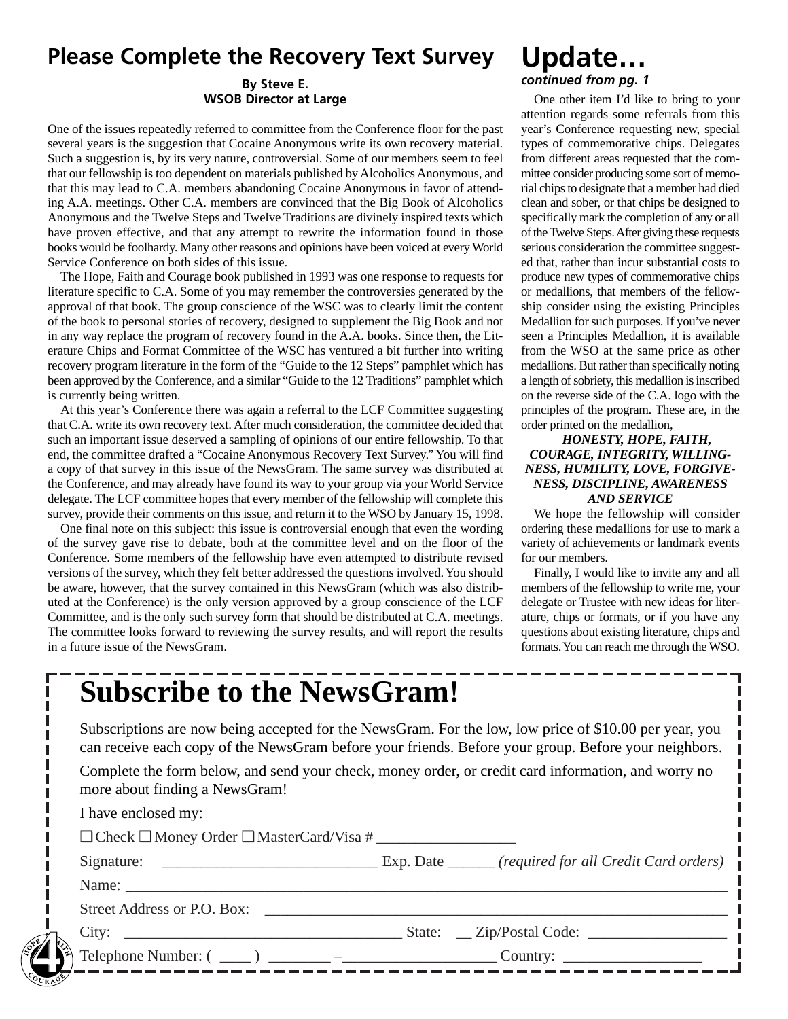# **Please Complete the Recovery Text Survey**

## **By Steve E. WSOB Director at Large**

One of the issues repeatedly referred to committee from the Conference floor for the past several years is the suggestion that Cocaine Anonymous write its own recovery material. Such a suggestion is, by its very nature, controversial. Some of our members seem to feel that our fellowship is too dependent on materials published by Alcoholics Anonymous, and that this may lead to C.A. members abandoning Cocaine Anonymous in favor of attending A.A. meetings. Other C.A. members are convinced that the Big Book of Alcoholics Anonymous and the Twelve Steps and Twelve Traditions are divinely inspired texts which have proven effective, and that any attempt to rewrite the information found in those books would be foolhardy. Many other reasons and opinions have been voiced at every World Service Conference on both sides of this issue.

The Hope, Faith and Courage book published in 1993 was one response to requests for literature specific to C.A. Some of you may remember the controversies generated by the approval of that book. The group conscience of the WSC was to clearly limit the content of the book to personal stories of recovery, designed to supplement the Big Book and not in any way replace the program of recovery found in the A.A. books. Since then, the Literature Chips and Format Committee of the WSC has ventured a bit further into writing recovery program literature in the form of the "Guide to the 12 Steps" pamphlet which has been approved by the Conference, and a similar "Guide to the 12 Traditions" pamphlet which is currently being written.

At this year's Conference there was again a referral to the LCF Committee suggesting that C.A. write its own recovery text. After much consideration, the committee decided that such an important issue deserved a sampling of opinions of our entire fellowship. To that end, the committee drafted a "Cocaine Anonymous Recovery Text Survey." You will find a copy of that survey in this issue of the NewsGram. The same survey was distributed at the Conference, and may already have found its way to your group via your World Service delegate. The LCF committee hopes that every member of the fellowship will complete this survey, provide their comments on this issue, and return it to the WSO by January 15, 1998.

One final note on this subject: this issue is controversial enough that even the wording of the survey gave rise to debate, both at the committee level and on the floor of the Conference. Some members of the fellowship have even attempted to distribute revised versions of the survey, which they felt better addressed the questions involved. You should be aware, however, that the survey contained in this NewsGram (which was also distributed at the Conference) is the only version approved by a group conscience of the LCF Committee, and is the only such survey form that should be distributed at C.A. meetings. The committee looks forward to reviewing the survey results, and will report the results in a future issue of the NewsGram.

# **Update…**

## *continued from pg. 1*

One other item I'd like to bring to your attention regards some referrals from this year's Conference requesting new, special types of commemorative chips. Delegates from different areas requested that the committee consider producing some sort of memorial chips to designate that a member had died clean and sober, or that chips be designed to specifically mark the completion of any or all of the Twelve Steps. After giving these requests serious consideration the committee suggested that, rather than incur substantial costs to produce new types of commemorative chips or medallions, that members of the fellowship consider using the existing Principles Medallion for such purposes. If you've never seen a Principles Medallion, it is available from the WSO at the same price as other medallions. But rather than specifically noting a length of sobriety, this medallion is inscribed on the reverse side of the C.A. logo with the principles of the program. These are, in the order printed on the medallion,

#### *HONESTY, HOPE, FAITH, COURAGE, INTEGRITY, WILLING-NESS, HUMILITY, LOVE, FORGIVE-NESS, DISCIPLINE, AWARENESS AND SERVICE*

We hope the fellowship will consider ordering these medallions for use to mark a variety of achievements or landmark events for our members.

Finally, I would like to invite any and all members of the fellowship to write me, your delegate or Trustee with new ideas for literature, chips or formats, or if you have any questions about existing literature, chips and formats. You can reach me through the WSO.

# **Subscribe to the NewsGram!**

Subscriptions are now being accepted for the NewsGram. For the low, low price of \$10.00 per year, you can receive each copy of the NewsGram before your friends. Before your group. Before your neighbors.

Complete the form below, and send your check, money order, or credit card information, and worry no more about finding a NewsGram!

|        | I have enclosed my:                                                                                                                                                                                                                                                                                                                                                                                                                              |  |
|--------|--------------------------------------------------------------------------------------------------------------------------------------------------------------------------------------------------------------------------------------------------------------------------------------------------------------------------------------------------------------------------------------------------------------------------------------------------|--|
|        | $\Box$ Check $\Box$ Money Order $\Box$ MasterCard/Visa #                                                                                                                                                                                                                                                                                                                                                                                         |  |
|        |                                                                                                                                                                                                                                                                                                                                                                                                                                                  |  |
|        |                                                                                                                                                                                                                                                                                                                                                                                                                                                  |  |
|        | Street Address or P.O. Box:                                                                                                                                                                                                                                                                                                                                                                                                                      |  |
|        |                                                                                                                                                                                                                                                                                                                                                                                                                                                  |  |
|        | Telephone Number: $(\underline{\hspace{1cm}})$ $\underline{\hspace{1cm}}$ $\overline{\hspace{1cm}}$ $\overline{\hspace{1cm}}$ $\overline{\hspace{1cm}}$ $\overline{\hspace{1cm}}$ $\overline{\hspace{1cm}}$ $\overline{\hspace{1cm}}$ $\overline{\hspace{1cm}}$ $\overline{\hspace{1cm}}$ $\overline{\hspace{1cm}}$ $\overline{\hspace{1cm}}$ $\overline{\hspace{1cm}}$ $\overline{\hspace{1cm}}$ $\overline{\hspace{1cm}}$ $\overline{\hspace{$ |  |
| PURAGE |                                                                                                                                                                                                                                                                                                                                                                                                                                                  |  |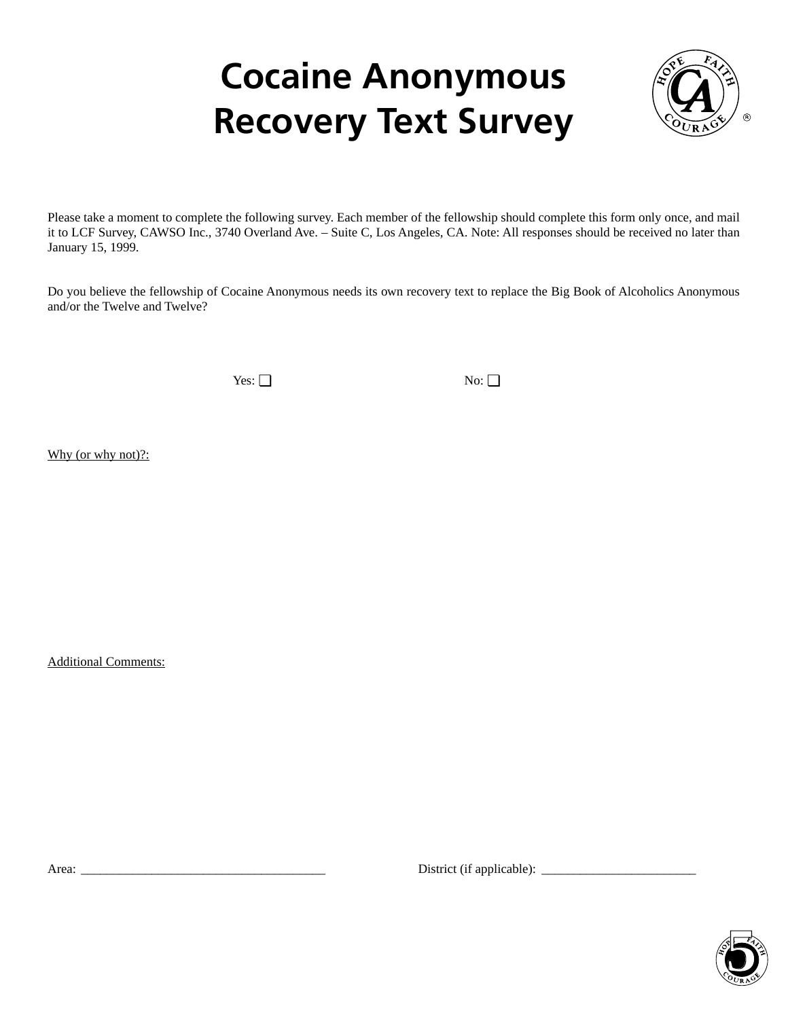# **Cocaine Anonymous Recovery Text Survey**



Please take a moment to complete the following survey. Each member of the fellowship should complete this form only once, and mail it to LCF Survey, CAWSO Inc., 3740 Overland Ave. – Suite C, Los Angeles, CA. Note: All responses should be received no later than January 15, 1999.

Do you believe the fellowship of Cocaine Anonymous needs its own recovery text to replace the Big Book of Alcoholics Anonymous and/or the Twelve and Twelve?

Yes: ❏ No: ❏

Why (or why not)?:

Additional Comments:

Area: \_\_\_\_\_\_\_\_\_\_\_\_\_\_\_\_\_\_\_\_\_\_\_\_\_\_\_\_\_\_\_\_\_\_\_\_\_\_ District (if applicable): \_\_\_\_\_\_\_\_\_\_\_\_\_\_\_\_\_\_\_\_\_\_\_\_

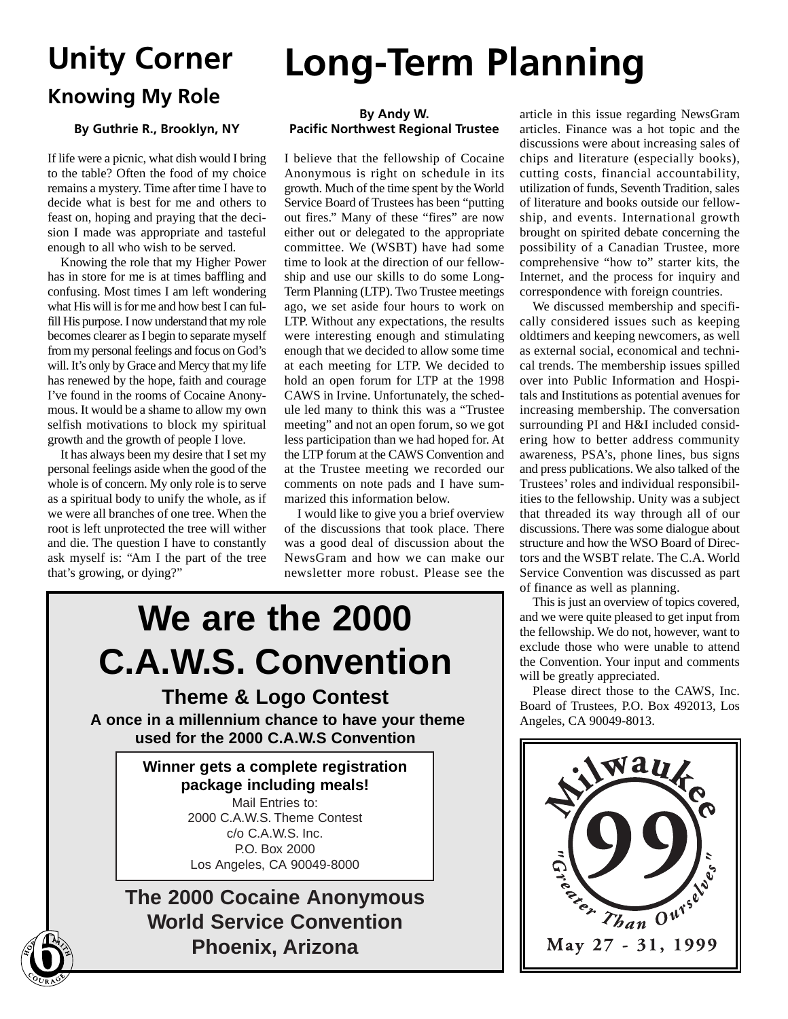# **Knowing My Role**

## **By Guthrie R., Brooklyn, NY**

If life were a picnic, what dish would I bring to the table? Often the food of my choice remains a mystery. Time after time I have to decide what is best for me and others to feast on, hoping and praying that the decision I made was appropriate and tasteful enough to all who wish to be served.

Knowing the role that my Higher Power has in store for me is at times baffling and confusing. Most times I am left wondering what His will is for me and how best I can fulfill His purpose. I now understand that my role becomes clearer as I begin to separate myself from my personal feelings and focus on God's will. It's only by Grace and Mercy that my life has renewed by the hope, faith and courage I've found in the rooms of Cocaine Anonymous. It would be a shame to allow my own selfish motivations to block my spiritual growth and the growth of people I love.

It has always been my desire that I set my personal feelings aside when the good of the whole is of concern. My only role is to serve as a spiritual body to unify the whole, as if we were all branches of one tree. When the root is left unprotected the tree will wither and die. The question I have to constantly ask myself is: "Am I the part of the tree that's growing, or dying?"

# **Unity Corner Long-Term Planning**

## **By Andy W. Pacific Northwest Regional Trustee**

I believe that the fellowship of Cocaine Anonymous is right on schedule in its growth. Much of the time spent by the World Service Board of Trustees has been "putting out fires." Many of these "fires" are now either out or delegated to the appropriate committee. We (WSBT) have had some time to look at the direction of our fellowship and use our skills to do some Long-Term Planning (LTP). Two Trustee meetings ago, we set aside four hours to work on LTP. Without any expectations, the results were interesting enough and stimulating enough that we decided to allow some time at each meeting for LTP. We decided to hold an open forum for LTP at the 1998 CAWS in Irvine. Unfortunately, the schedule led many to think this was a "Trustee meeting" and not an open forum, so we got less participation than we had hoped for. At the LTP forum at the CAWS Convention and at the Trustee meeting we recorded our comments on note pads and I have summarized this information below.

I would like to give you a brief overview of the discussions that took place. There was a good deal of discussion about the NewsGram and how we can make our newsletter more robust. Please see the

# **We are the 2000 C.A.W.S. Convention Theme & Logo Contest**

**A once in a millennium chance to have your theme used for the 2000 C.A.W.S Convention**

> **Winner gets a complete registration package including meals!** Mail Entries to: 2000 C.A.W.S. Theme Contest c/o C.A.W.S. Inc. P.O. Box 2000 Los Angeles, CA 90049-8000

**The 2000 Cocaine Anonymous World Service Convention Phoenix, Arizona 6**

article in this issue regarding NewsGram articles. Finance was a hot topic and the discussions were about increasing sales of chips and literature (especially books), cutting costs, financial accountability, utilization of funds, Seventh Tradition, sales of literature and books outside our fellowship, and events. International growth brought on spirited debate concerning the possibility of a Canadian Trustee, more comprehensive "how to" starter kits, the Internet, and the process for inquiry and correspondence with foreign countries.

We discussed membership and specifically considered issues such as keeping oldtimers and keeping newcomers, as well as external social, economical and technical trends. The membership issues spilled over into Public Information and Hospitals and Institutions as potential avenues for increasing membership. The conversation surrounding PI and H&I included considering how to better address community awareness, PSA's, phone lines, bus signs and press publications. We also talked of the Trustees' roles and individual responsibilities to the fellowship. Unity was a subject that threaded its way through all of our discussions. There was some dialogue about structure and how the WSO Board of Directors and the WSBT relate. The C.A. World Service Convention was discussed as part of finance as well as planning.

This is just an overview of topics covered, and we were quite pleased to get input from the fellowship. We do not, however, want to exclude those who were unable to attend the Convention. Your input and comments will be greatly appreciated.

Please direct those to the CAWS, Inc. Board of Trustees, P.O. Box 492013, Los Angeles, CA 90049-8013.

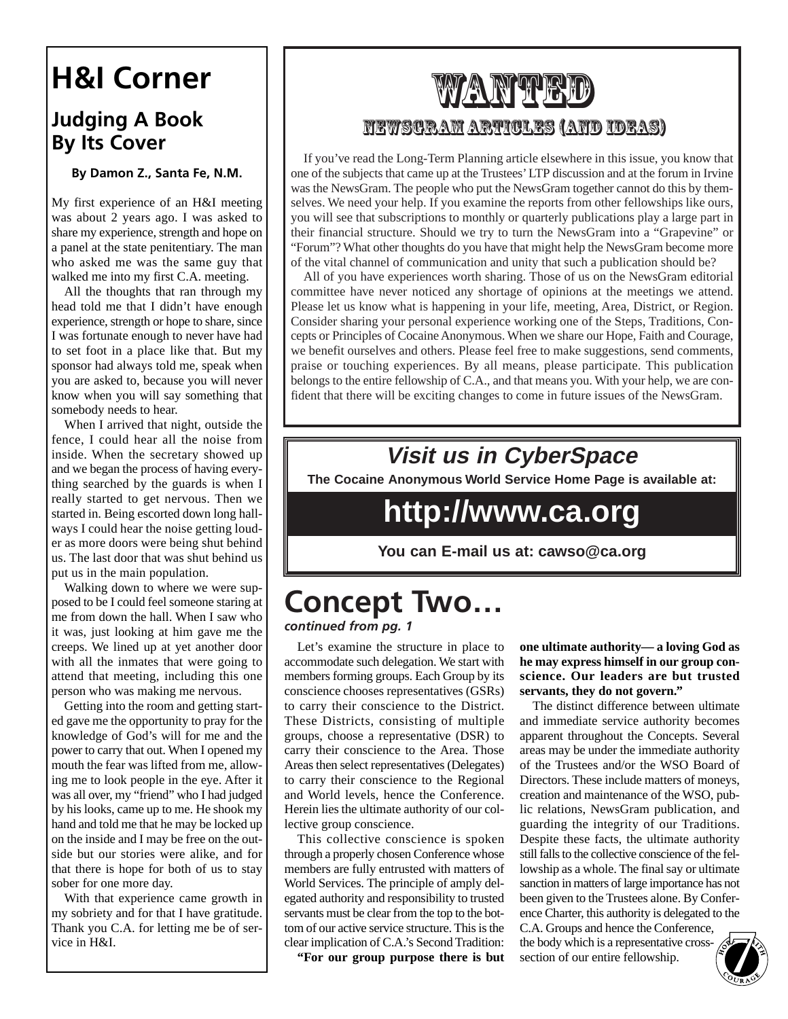# **H&I Corner**

# **Judging A Book By Its Cover**

**By Damon Z., Santa Fe, N.M.**

My first experience of an H&I meeting was about 2 years ago. I was asked to share my experience, strength and hope on a panel at the state penitentiary. The man who asked me was the same guy that walked me into my first C.A. meeting.

All the thoughts that ran through my head told me that I didn't have enough experience, strength or hope to share, since I was fortunate enough to never have had to set foot in a place like that. But my sponsor had always told me, speak when you are asked to, because you will never know when you will say something that somebody needs to hear.

When I arrived that night, outside the fence, I could hear all the noise from inside. When the secretary showed up and we began the process of having everything searched by the guards is when I really started to get nervous. Then we started in. Being escorted down long hallways I could hear the noise getting louder as more doors were being shut behind us. The last door that was shut behind us put us in the main population.

Walking down to where we were supposed to be I could feel someone staring at me from down the hall. When I saw who it was, just looking at him gave me the creeps. We lined up at yet another door with all the inmates that were going to attend that meeting, including this one person who was making me nervous.

Getting into the room and getting started gave me the opportunity to pray for the knowledge of God's will for me and the power to carry that out. When I opened my mouth the fear was lifted from me, allowing me to look people in the eye. After it was all over, my "friend" who I had judged by his looks, came up to me. He shook my hand and told me that he may be locked up on the inside and I may be free on the outside but our stories were alike, and for that there is hope for both of us to stay sober for one more day.

With that experience came growth in my sobriety and for that I have gratitude. Thank you C.A. for letting me be of service in H&I.

# Wanted NewsGram Articles (And Ideas)

If you've read the Long-Term Planning article elsewhere in this issue, you know that one of the subjects that came up at the Trustees' LTP discussion and at the forum in Irvine was the NewsGram. The people who put the NewsGram together cannot do this by themselves. We need your help. If you examine the reports from other fellowships like ours, you will see that subscriptions to monthly or quarterly publications play a large part in their financial structure. Should we try to turn the NewsGram into a "Grapevine" or "Forum"? What other thoughts do you have that might help the NewsGram become more of the vital channel of communication and unity that such a publication should be?

All of you have experiences worth sharing. Those of us on the NewsGram editorial committee have never noticed any shortage of opinions at the meetings we attend. Please let us know what is happening in your life, meeting, Area, District, or Region. Consider sharing your personal experience working one of the Steps, Traditions, Concepts or Principles of Cocaine Anonymous. When we share our Hope, Faith and Courage, we benefit ourselves and others. Please feel free to make suggestions, send comments, praise or touching experiences. By all means, please participate. This publication belongs to the entire fellowship of C.A., and that means you. With your help, we are confident that there will be exciting changes to come in future issues of the NewsGram.

# **Visit us in CyberSpace**

**The Cocaine Anonymous World Service Home Page is available at:**

# **http://www.ca.org**

**You can E-mail us at: cawso@ca.org**

# **Concept Two…** *continued from pg. 1*

Let's examine the structure in place to accommodate such delegation. We start with members forming groups. Each Group by its conscience chooses representatives (GSRs) to carry their conscience to the District. These Districts, consisting of multiple groups, choose a representative (DSR) to carry their conscience to the Area. Those Areas then select representatives (Delegates) to carry their conscience to the Regional and World levels, hence the Conference. Herein lies the ultimate authority of our collective group conscience.

This collective conscience is spoken through a properly chosen Conference whose members are fully entrusted with matters of World Services. The principle of amply delegated authority and responsibility to trusted servants must be clear from the top to the bottom of our active service structure. This is the clear implication of C.A.'s Second Tradition:

**"For our group purpose there is but**

**one ultimate authority— a loving God as he may express himself in our group conscience. Our leaders are but trusted servants, they do not govern."**

The distinct difference between ultimate and immediate service authority becomes apparent throughout the Concepts. Several areas may be under the immediate authority of the Trustees and/or the WSO Board of Directors. These include matters of moneys, creation and maintenance of the WSO, public relations, NewsGram publication, and guarding the integrity of our Traditions. Despite these facts, the ultimate authority still falls to the collective conscience of the fellowship as a whole. The final say or ultimate sanction in matters of large importance has not been given to the Trustees alone. By Conference Charter, this authority is delegated to the

C.A. Groups and hence the Conference, the body which is a representative crosssection of our entire fellowship.